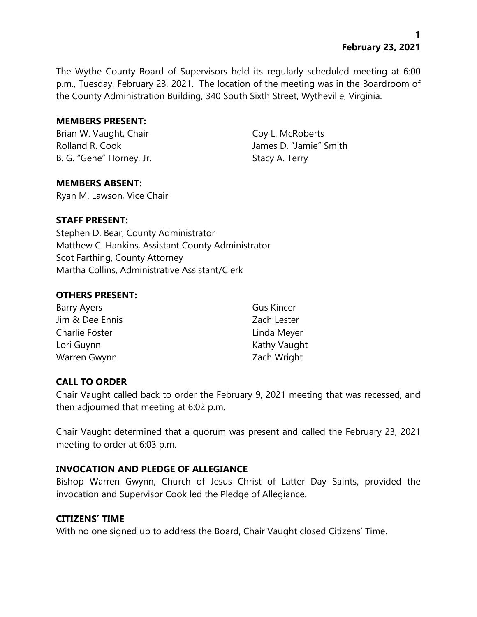# **1 February 23, 2021**

The Wythe County Board of Supervisors held its regularly scheduled meeting at 6:00 p.m., Tuesday, February 23, 2021. The location of the meeting was in the Boardroom of the County Administration Building, 340 South Sixth Street, Wytheville, Virginia.

#### **MEMBERS PRESENT:**

Brian W. Vaught, Chair Coy L. McRoberts Rolland R. Cook James D. "Jamie" Smith B. G. "Gene" Horney, Jr. Stacy A. Terry

#### **MEMBERS ABSENT:**

Ryan M. Lawson, Vice Chair

### **STAFF PRESENT:**

Stephen D. Bear, County Administrator Matthew C. Hankins, Assistant County Administrator Scot Farthing, County Attorney Martha Collins, Administrative Assistant/Clerk

### **OTHERS PRESENT:**

| Barry Ayers     | <b>Gus Kincer</b> |
|-----------------|-------------------|
| Jim & Dee Ennis | Zach Lester       |
| Charlie Foster  | Linda Meyer       |
| Lori Guynn      | Kathy Vaught      |
| Warren Gwynn    | Zach Wright       |

#### **CALL TO ORDER**

Chair Vaught called back to order the February 9, 2021 meeting that was recessed, and then adjourned that meeting at 6:02 p.m.

Chair Vaught determined that a quorum was present and called the February 23, 2021 meeting to order at 6:03 p.m.

#### **INVOCATION AND PLEDGE OF ALLEGIANCE**

Bishop Warren Gwynn, Church of Jesus Christ of Latter Day Saints, provided the invocation and Supervisor Cook led the Pledge of Allegiance.

#### **CITIZENS' TIME**

With no one signed up to address the Board, Chair Vaught closed Citizens' Time.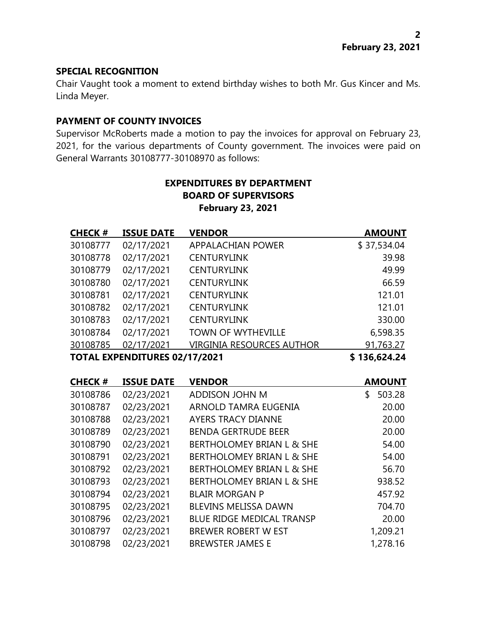### **SPECIAL RECOGNITION**

Chair Vaught took a moment to extend birthday wishes to both Mr. Gus Kincer and Ms. Linda Meyer.

# **PAYMENT OF COUNTY INVOICES**

Supervisor McRoberts made a motion to pay the invoices for approval on February 23, 2021, for the various departments of County government. The invoices were paid on General Warrants 30108777-30108970 as follows:

# **EXPENDITURES BY DEPARTMENT BOARD OF SUPERVISORS February 23, 2021**

| <b>CHECK#</b> | <b>ISSUE DATE</b>             | <b>VENDOR</b>                        | <b>AMOUNT</b> |
|---------------|-------------------------------|--------------------------------------|---------------|
| 30108777      | 02/17/2021                    | <b>APPALACHIAN POWER</b>             | \$37,534.04   |
| 30108778      | 02/17/2021                    | <b>CENTURYLINK</b>                   | 39.98         |
| 30108779      | 02/17/2021                    | <b>CENTURYLINK</b>                   | 49.99         |
| 30108780      | 02/17/2021                    | <b>CENTURYLINK</b>                   | 66.59         |
| 30108781      | 02/17/2021                    | <b>CENTURYLINK</b>                   | 121.01        |
| 30108782      | 02/17/2021                    | <b>CENTURYLINK</b>                   | 121.01        |
| 30108783      | 02/17/2021                    | <b>CENTURYLINK</b>                   | 330.00        |
| 30108784      | 02/17/2021                    | <b>TOWN OF WYTHEVILLE</b>            | 6,598.35      |
| 30108785      | 02/17/2021                    | <b>VIRGINIA RESOURCES AUTHOR</b>     | 91,763.27     |
|               | TOTAL EXPENDITURES 02/17/2021 |                                      | \$136,624.24  |
|               |                               |                                      |               |
| <b>CHECK#</b> | <b>ISSUE DATE</b>             | <b>VENDOR</b>                        | <b>AMOUNT</b> |
| 30108786      | 02/23/2021                    | ADDISON JOHN M                       | \$<br>503.28  |
| 30108787      | 02/23/2021                    | ARNOLD TAMRA EUGENIA                 | 20.00         |
| 30108788      | 02/23/2021                    | <b>AYERS TRACY DIANNE</b>            | 20.00         |
| 30108789      | 02/23/2021                    | <b>BENDA GERTRUDE BEER</b>           | 20.00         |
| 30108790      | 02/23/2021                    | <b>BERTHOLOMEY BRIAN L &amp; SHE</b> | 54.00         |
| 30108791      | 02/23/2021                    | <b>BERTHOLOMEY BRIAN L &amp; SHE</b> | 54.00         |
| 30108792      | 02/23/2021                    | <b>BERTHOLOMEY BRIAN L &amp; SHE</b> | 56.70         |
| 30108793      | 02/23/2021                    | <b>BERTHOLOMEY BRIAN L &amp; SHE</b> | 938.52        |
| 30108794      | 02/23/2021                    | <b>BLAIR MORGAN P</b>                | 457.92        |
| 30108795      | 02/23/2021                    | <b>BLEVINS MELISSA DAWN</b>          | 704.70        |
| 30108796      | 02/23/2021                    | <b>BLUE RIDGE MEDICAL TRANSP</b>     | 20.00         |
| 30108797      | 02/23/2021                    | <b>BREWER ROBERT W EST</b>           | 1,209.21      |
| 30108798      | 02/23/2021                    | <b>BREWSTER JAMES E</b>              | 1,278.16      |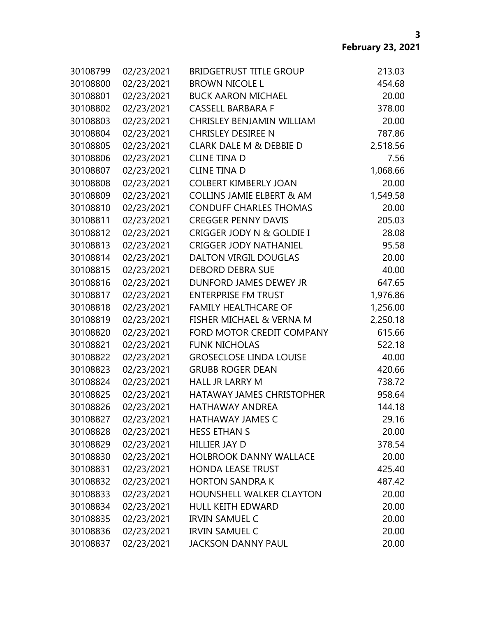| 30108799 | 02/23/2021 | <b>BRIDGETRUST TITLE GROUP</b>       | 213.03   |
|----------|------------|--------------------------------------|----------|
| 30108800 | 02/23/2021 | <b>BROWN NICOLE L</b>                | 454.68   |
| 30108801 | 02/23/2021 | <b>BUCK AARON MICHAEL</b>            | 20.00    |
| 30108802 | 02/23/2021 | <b>CASSELL BARBARA F</b>             | 378.00   |
| 30108803 | 02/23/2021 | CHRISLEY BENJAMIN WILLIAM            | 20.00    |
| 30108804 | 02/23/2021 | <b>CHRISLEY DESIREE N</b>            | 787.86   |
| 30108805 | 02/23/2021 | CLARK DALE M & DEBBIE D              | 2,518.56 |
| 30108806 | 02/23/2021 | <b>CLINE TINA D</b>                  | 7.56     |
| 30108807 | 02/23/2021 | <b>CLINE TINA D</b>                  | 1,068.66 |
| 30108808 | 02/23/2021 | <b>COLBERT KIMBERLY JOAN</b>         | 20.00    |
| 30108809 | 02/23/2021 | <b>COLLINS JAMIE ELBERT &amp; AM</b> | 1,549.58 |
| 30108810 | 02/23/2021 | <b>CONDUFF CHARLES THOMAS</b>        | 20.00    |
| 30108811 | 02/23/2021 | <b>CREGGER PENNY DAVIS</b>           | 205.03   |
| 30108812 | 02/23/2021 | CRIGGER JODY N & GOLDIE I            | 28.08    |
| 30108813 | 02/23/2021 | <b>CRIGGER JODY NATHANIEL</b>        | 95.58    |
| 30108814 | 02/23/2021 | DALTON VIRGIL DOUGLAS                | 20.00    |
| 30108815 | 02/23/2021 | <b>DEBORD DEBRA SUE</b>              | 40.00    |
| 30108816 | 02/23/2021 | DUNFORD JAMES DEWEY JR               | 647.65   |
| 30108817 | 02/23/2021 | <b>ENTERPRISE FM TRUST</b>           | 1,976.86 |
| 30108818 | 02/23/2021 | <b>FAMILY HEALTHCARE OF</b>          | 1,256.00 |
| 30108819 | 02/23/2021 | <b>FISHER MICHAEL &amp; VERNA M</b>  | 2,250.18 |
| 30108820 | 02/23/2021 | FORD MOTOR CREDIT COMPANY            | 615.66   |
| 30108821 | 02/23/2021 | <b>FUNK NICHOLAS</b>                 | 522.18   |
| 30108822 | 02/23/2021 | <b>GROSECLOSE LINDA LOUISE</b>       | 40.00    |
| 30108823 | 02/23/2021 | <b>GRUBB ROGER DEAN</b>              | 420.66   |
| 30108824 | 02/23/2021 | <b>HALL JR LARRY M</b>               | 738.72   |
| 30108825 | 02/23/2021 | <b>HATAWAY JAMES CHRISTOPHER</b>     | 958.64   |
| 30108826 | 02/23/2021 | HATHAWAY ANDREA                      | 144.18   |
| 30108827 | 02/23/2021 | <b>HATHAWAY JAMES C</b>              | 29.16    |
| 30108828 | 02/23/2021 | <b>HESS ETHAN S</b>                  | 20.00    |
| 30108829 | 02/23/2021 | <b>HILLIER JAY D</b>                 | 378.54   |
| 30108830 | 02/23/2021 | <b>HOLBROOK DANNY WALLACE</b>        | 20.00    |
| 30108831 | 02/23/2021 | <b>HONDA LEASE TRUST</b>             | 425.40   |
| 30108832 | 02/23/2021 | <b>HORTON SANDRA K</b>               | 487.42   |
| 30108833 | 02/23/2021 | <b>HOUNSHELL WALKER CLAYTON</b>      | 20.00    |
| 30108834 | 02/23/2021 | <b>HULL KEITH EDWARD</b>             | 20.00    |
| 30108835 | 02/23/2021 | <b>IRVIN SAMUEL C</b>                | 20.00    |
| 30108836 | 02/23/2021 | <b>IRVIN SAMUEL C</b>                | 20.00    |
| 30108837 | 02/23/2021 | <b>JACKSON DANNY PAUL</b>            | 20.00    |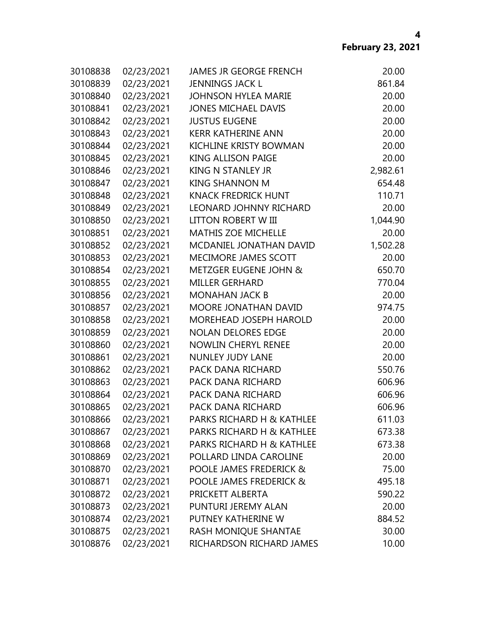| 30108838 | 02/23/2021 | <b>JAMES JR GEORGE FRENCH</b>    | 20.00    |
|----------|------------|----------------------------------|----------|
| 30108839 | 02/23/2021 | <b>JENNINGS JACK L</b>           | 861.84   |
| 30108840 | 02/23/2021 | <b>JOHNSON HYLEA MARIE</b>       | 20.00    |
| 30108841 | 02/23/2021 | <b>JONES MICHAEL DAVIS</b>       | 20.00    |
| 30108842 | 02/23/2021 | <b>JUSTUS EUGENE</b>             | 20.00    |
| 30108843 | 02/23/2021 | <b>KERR KATHERINE ANN</b>        | 20.00    |
| 30108844 | 02/23/2021 | KICHLINE KRISTY BOWMAN           | 20.00    |
| 30108845 | 02/23/2021 | <b>KING ALLISON PAIGE</b>        | 20.00    |
| 30108846 | 02/23/2021 | <b>KING N STANLEY JR</b>         | 2,982.61 |
| 30108847 | 02/23/2021 | <b>KING SHANNON M</b>            | 654.48   |
| 30108848 | 02/23/2021 | <b>KNACK FREDRICK HUNT</b>       | 110.71   |
| 30108849 | 02/23/2021 | <b>LEONARD JOHNNY RICHARD</b>    | 20.00    |
| 30108850 | 02/23/2021 | <b>LITTON ROBERT W III</b>       | 1,044.90 |
| 30108851 | 02/23/2021 | <b>MATHIS ZOE MICHELLE</b>       | 20.00    |
| 30108852 | 02/23/2021 | <b>MCDANIEL JONATHAN DAVID</b>   | 1,502.28 |
| 30108853 | 02/23/2021 | MECIMORE JAMES SCOTT             | 20.00    |
| 30108854 | 02/23/2021 | <b>METZGER EUGENE JOHN &amp;</b> | 650.70   |
| 30108855 | 02/23/2021 | <b>MILLER GERHARD</b>            | 770.04   |
| 30108856 | 02/23/2021 | <b>MONAHAN JACK B</b>            | 20.00    |
| 30108857 | 02/23/2021 | MOORE JONATHAN DAVID             | 974.75   |
| 30108858 | 02/23/2021 | MOREHEAD JOSEPH HAROLD           | 20.00    |
| 30108859 | 02/23/2021 | <b>NOLAN DELORES EDGE</b>        | 20.00    |
| 30108860 | 02/23/2021 | <b>NOWLIN CHERYL RENEE</b>       | 20.00    |
| 30108861 | 02/23/2021 | <b>NUNLEY JUDY LANE</b>          | 20.00    |
| 30108862 | 02/23/2021 | PACK DANA RICHARD                | 550.76   |
| 30108863 | 02/23/2021 | PACK DANA RICHARD                | 606.96   |
| 30108864 | 02/23/2021 | PACK DANA RICHARD                | 606.96   |
| 30108865 | 02/23/2021 | PACK DANA RICHARD                | 606.96   |
| 30108866 | 02/23/2021 | PARKS RICHARD H & KATHLEE        | 611.03   |
| 30108867 | 02/23/2021 | PARKS RICHARD H & KATHLEE        | 673.38   |
| 30108868 | 02/23/2021 | PARKS RICHARD H & KATHLEE        | 673.38   |
| 30108869 | 02/23/2021 | POLLARD LINDA CAROLINE           | 20.00    |
| 30108870 | 02/23/2021 | POOLE JAMES FREDERICK &          | 75.00    |
| 30108871 | 02/23/2021 | POOLE JAMES FREDERICK &          | 495.18   |
| 30108872 | 02/23/2021 | PRICKETT ALBERTA                 | 590.22   |
| 30108873 | 02/23/2021 | PUNTURI JEREMY ALAN              | 20.00    |
| 30108874 | 02/23/2021 | PUTNEY KATHERINE W               | 884.52   |
| 30108875 | 02/23/2021 | RASH MONIQUE SHANTAE             | 30.00    |
| 30108876 | 02/23/2021 | RICHARDSON RICHARD JAMES         | 10.00    |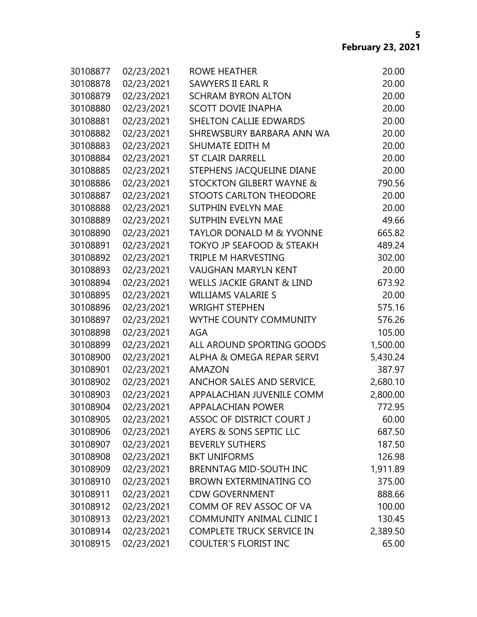| 30108877 | 02/23/2021 | <b>ROWE HEATHER</b>                  | 20.00    |
|----------|------------|--------------------------------------|----------|
| 30108878 | 02/23/2021 | <b>SAWYERS II EARL R</b>             | 20.00    |
| 30108879 | 02/23/2021 | <b>SCHRAM BYRON ALTON</b>            | 20.00    |
| 30108880 | 02/23/2021 | <b>SCOTT DOVIE INAPHA</b>            | 20.00    |
| 30108881 | 02/23/2021 | <b>SHELTON CALLIE EDWARDS</b>        | 20.00    |
| 30108882 | 02/23/2021 | SHREWSBURY BARBARA ANN WA            | 20.00    |
| 30108883 | 02/23/2021 | SHUMATE EDITH M                      | 20.00    |
| 30108884 | 02/23/2021 | <b>ST CLAIR DARRELL</b>              | 20.00    |
| 30108885 | 02/23/2021 | STEPHENS JACQUELINE DIANE            | 20.00    |
| 30108886 | 02/23/2021 | <b>STOCKTON GILBERT WAYNE &amp;</b>  | 790.56   |
| 30108887 | 02/23/2021 | <b>STOOTS CARLTON THEODORE</b>       | 20.00    |
| 30108888 | 02/23/2021 | <b>SUTPHIN EVELYN MAE</b>            | 20.00    |
| 30108889 | 02/23/2021 | <b>SUTPHIN EVELYN MAE</b>            | 49.66    |
| 30108890 | 02/23/2021 | <b>TAYLOR DONALD M &amp; YVONNE</b>  | 665.82   |
| 30108891 | 02/23/2021 | <b>TOKYO JP SEAFOOD &amp; STEAKH</b> | 489.24   |
| 30108892 | 02/23/2021 | TRIPLE M HARVESTING                  | 302.00   |
| 30108893 | 02/23/2021 | <b>VAUGHAN MARYLN KENT</b>           | 20.00    |
| 30108894 | 02/23/2021 | <b>WELLS JACKIE GRANT &amp; LIND</b> | 673.92   |
| 30108895 | 02/23/2021 | <b>WILLIAMS VALARIE S</b>            | 20.00    |
| 30108896 | 02/23/2021 | <b>WRIGHT STEPHEN</b>                | 575.16   |
| 30108897 | 02/23/2021 | WYTHE COUNTY COMMUNITY               | 576.26   |
| 30108898 | 02/23/2021 | <b>AGA</b>                           | 105.00   |
| 30108899 | 02/23/2021 | ALL AROUND SPORTING GOODS            | 1,500.00 |
| 30108900 | 02/23/2021 | ALPHA & OMEGA REPAR SERVI            | 5,430.24 |
| 30108901 | 02/23/2021 | <b>AMAZON</b>                        | 387.97   |
| 30108902 | 02/23/2021 | ANCHOR SALES AND SERVICE,            | 2,680.10 |
| 30108903 | 02/23/2021 | APPALACHIAN JUVENILE COMM            | 2,800.00 |
| 30108904 | 02/23/2021 | <b>APPALACHIAN POWER</b>             | 772.95   |
| 30108905 | 02/23/2021 | <b>ASSOC OF DISTRICT COURT J</b>     | 60.00    |
| 30108906 | 02/23/2021 | AYERS & SONS SEPTIC LLC              | 687.50   |
| 30108907 | 02/23/2021 | <b>BEVERLY SUTHERS</b>               | 187.50   |
| 30108908 | 02/23/2021 | <b>BKT UNIFORMS</b>                  | 126.98   |
| 30108909 | 02/23/2021 | <b>BRENNTAG MID-SOUTH INC</b>        | 1,911.89 |
| 30108910 | 02/23/2021 | <b>BROWN EXTERMINATING CO</b>        | 375.00   |
| 30108911 | 02/23/2021 | <b>CDW GOVERNMENT</b>                | 888.66   |
| 30108912 | 02/23/2021 | COMM OF REV ASSOC OF VA              | 100.00   |
| 30108913 | 02/23/2021 | COMMUNITY ANIMAL CLINIC I            | 130.45   |
| 30108914 | 02/23/2021 | <b>COMPLETE TRUCK SERVICE IN</b>     | 2,389.50 |
| 30108915 | 02/23/2021 | <b>COULTER'S FLORIST INC</b>         | 65.00    |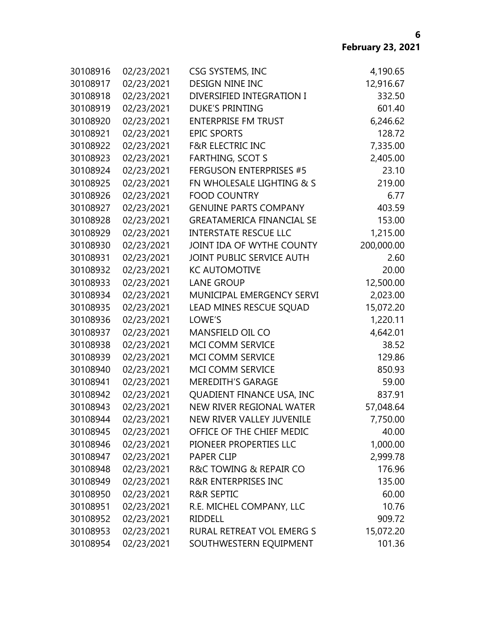| 30108916 | 02/23/2021 | CSG SYSTEMS, INC                 | 4,190.65   |
|----------|------------|----------------------------------|------------|
| 30108917 | 02/23/2021 | <b>DESIGN NINE INC</b>           | 12,916.67  |
| 30108918 | 02/23/2021 | DIVERSIFIED INTEGRATION I        | 332.50     |
| 30108919 | 02/23/2021 | <b>DUKE'S PRINTING</b>           | 601.40     |
| 30108920 | 02/23/2021 | <b>ENTERPRISE FM TRUST</b>       | 6,246.62   |
| 30108921 | 02/23/2021 | <b>EPIC SPORTS</b>               | 128.72     |
| 30108922 | 02/23/2021 | <b>F&amp;R ELECTRIC INC</b>      | 7,335.00   |
| 30108923 | 02/23/2021 | <b>FARTHING, SCOT S</b>          | 2,405.00   |
| 30108924 | 02/23/2021 | <b>FERGUSON ENTERPRISES #5</b>   | 23.10      |
| 30108925 | 02/23/2021 | FN WHOLESALE LIGHTING & S        | 219.00     |
| 30108926 | 02/23/2021 | <b>FOOD COUNTRY</b>              | 6.77       |
| 30108927 | 02/23/2021 | <b>GENUINE PARTS COMPANY</b>     | 403.59     |
| 30108928 | 02/23/2021 | <b>GREATAMERICA FINANCIAL SE</b> | 153.00     |
| 30108929 | 02/23/2021 | <b>INTERSTATE RESCUE LLC</b>     | 1,215.00   |
| 30108930 | 02/23/2021 | JOINT IDA OF WYTHE COUNTY        | 200,000.00 |
| 30108931 | 02/23/2021 | JOINT PUBLIC SERVICE AUTH        | 2.60       |
| 30108932 | 02/23/2021 | <b>KC AUTOMOTIVE</b>             | 20.00      |
| 30108933 | 02/23/2021 | <b>LANE GROUP</b>                | 12,500.00  |
| 30108934 | 02/23/2021 | MUNICIPAL EMERGENCY SERVI        | 2,023.00   |
| 30108935 | 02/23/2021 | LEAD MINES RESCUE SQUAD          | 15,072.20  |
| 30108936 | 02/23/2021 | LOWE'S                           | 1,220.11   |
| 30108937 | 02/23/2021 | MANSFIELD OIL CO                 | 4,642.01   |
| 30108938 | 02/23/2021 | MCI COMM SERVICE                 | 38.52      |
| 30108939 | 02/23/2021 | MCI COMM SERVICE                 | 129.86     |
| 30108940 | 02/23/2021 | MCI COMM SERVICE                 | 850.93     |
| 30108941 | 02/23/2021 | <b>MEREDITH'S GARAGE</b>         | 59.00      |
| 30108942 | 02/23/2021 | QUADIENT FINANCE USA, INC        | 837.91     |
| 30108943 | 02/23/2021 | NEW RIVER REGIONAL WATER         | 57,048.64  |
| 30108944 | 02/23/2021 | NEW RIVER VALLEY JUVENILE        | 7,750.00   |
| 30108945 | 02/23/2021 | OFFICE OF THE CHIEF MEDIC        | 40.00      |
| 30108946 | 02/23/2021 | PIONEER PROPERTIES LLC           | 1,000.00   |
| 30108947 | 02/23/2021 | <b>PAPER CLIP</b>                | 2,999.78   |
| 30108948 | 02/23/2021 | R&C TOWING & REPAIR CO           | 176.96     |
| 30108949 | 02/23/2021 | <b>R&amp;R ENTERPRISES INC</b>   | 135.00     |
| 30108950 | 02/23/2021 | <b>R&amp;R SEPTIC</b>            | 60.00      |
| 30108951 | 02/23/2021 | R.E. MICHEL COMPANY, LLC         | 10.76      |
| 30108952 | 02/23/2021 | <b>RIDDELL</b>                   | 909.72     |
| 30108953 | 02/23/2021 | RURAL RETREAT VOL EMERG S        | 15,072.20  |
| 30108954 | 02/23/2021 | SOUTHWESTERN EQUIPMENT           | 101.36     |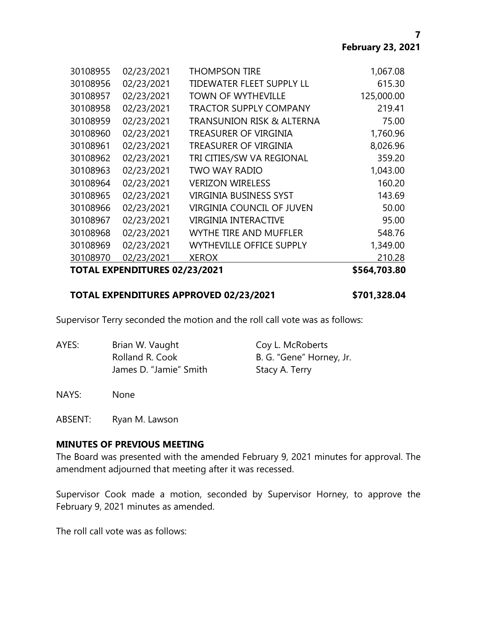**7**

| 30108970 | 02/23/2021<br>TOTAL EXPENDITURES 02/23/2021 | <b>XEROX</b>                         | 210.28<br>\$564,703.80 |
|----------|---------------------------------------------|--------------------------------------|------------------------|
| 30108969 | 02/23/2021                                  | <b>WYTHEVILLE OFFICE SUPPLY</b>      | 1,349.00               |
| 30108968 | 02/23/2021                                  | <b>WYTHE TIRE AND MUFFLER</b>        | 548.76                 |
| 30108967 | 02/23/2021                                  | <b>VIRGINIA INTERACTIVE</b>          | 95.00                  |
| 30108966 | 02/23/2021                                  | <b>VIRGINIA COUNCIL OF JUVEN</b>     | 50.00                  |
| 30108965 | 02/23/2021                                  | <b>VIRGINIA BUSINESS SYST</b>        | 143.69                 |
| 30108964 | 02/23/2021                                  | <b>VERIZON WIRELESS</b>              | 160.20                 |
| 30108963 | 02/23/2021                                  | <b>TWO WAY RADIO</b>                 | 1,043.00               |
| 30108962 | 02/23/2021                                  | TRI CITIES/SW VA REGIONAL            | 359.20                 |
| 30108961 | 02/23/2021                                  | TREASURER OF VIRGINIA                | 8,026.96               |
| 30108960 | 02/23/2021                                  | TREASURER OF VIRGINIA                | 1,760.96               |
| 30108959 | 02/23/2021                                  | <b>TRANSUNION RISK &amp; ALTERNA</b> | 75.00                  |
| 30108958 | 02/23/2021                                  | <b>TRACTOR SUPPLY COMPANY</b>        | 219.41                 |
| 30108957 | 02/23/2021                                  | <b>TOWN OF WYTHEVILLE</b>            | 125,000.00             |
| 30108956 | 02/23/2021                                  | TIDEWATER FLEET SUPPLY LL            | 615.30                 |
| 30108955 | 02/23/2021                                  | <b>THOMPSON TIRE</b>                 | 1,067.08               |
|          |                                             |                                      |                        |

### **TOTAL EXPENDITURES APPROVED 02/23/2021 \$701,328.04**

Supervisor Terry seconded the motion and the roll call vote was as follows:

| AYES: | Brian W. Vaught        | Coy L. McRoberts         |
|-------|------------------------|--------------------------|
|       | Rolland R. Cook        | B. G. "Gene" Horney, Jr. |
|       | James D. "Jamie" Smith | Stacy A. Terry           |

NAYS: None

ABSENT: Ryan M. Lawson

#### **MINUTES OF PREVIOUS MEETING**

The Board was presented with the amended February 9, 2021 minutes for approval. The amendment adjourned that meeting after it was recessed.

Supervisor Cook made a motion, seconded by Supervisor Horney, to approve the February 9, 2021 minutes as amended.

The roll call vote was as follows: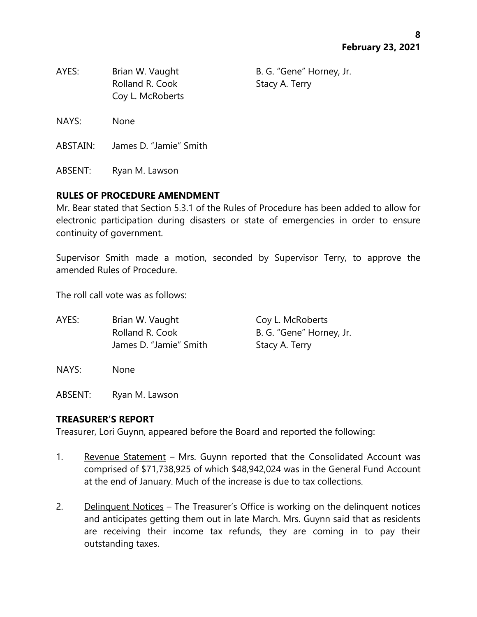| AYES:    | Brian W. Vaught<br>Rolland R. Cook<br>Coy L. McRoberts | B. G. "Gene" Horney, Jr.<br>Stacy A. Terry |
|----------|--------------------------------------------------------|--------------------------------------------|
| NAYS:    | <b>None</b>                                            |                                            |
| ABSTAIN: | James D. "Jamie" Smith                                 |                                            |

ABSENT: Ryan M. Lawson

# **RULES OF PROCEDURE AMENDMENT**

Mr. Bear stated that Section 5.3.1 of the Rules of Procedure has been added to allow for electronic participation during disasters or state of emergencies in order to ensure continuity of government.

Supervisor Smith made a motion, seconded by Supervisor Terry, to approve the amended Rules of Procedure.

The roll call vote was as follows:

| AYES: | Brian W. Vaught        | Coy L. McRoberts         |
|-------|------------------------|--------------------------|
|       | Rolland R. Cook        | B. G. "Gene" Horney, Jr. |
|       | James D. "Jamie" Smith | Stacy A. Terry           |

NAYS: None

ABSENT: Ryan M. Lawson

# **TREASURER'S REPORT**

Treasurer, Lori Guynn, appeared before the Board and reported the following:

- 1. Revenue Statement Mrs. Guynn reported that the Consolidated Account was comprised of \$71,738,925 of which \$48,942,024 was in the General Fund Account at the end of January. Much of the increase is due to tax collections.
- 2. Delinquent Notices The Treasurer's Office is working on the delinquent notices and anticipates getting them out in late March. Mrs. Guynn said that as residents are receiving their income tax refunds, they are coming in to pay their outstanding taxes.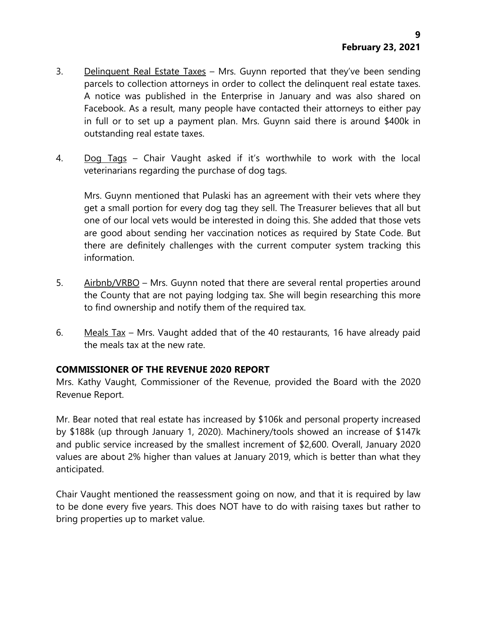- 3. Delinquent Real Estate Taxes Mrs. Guynn reported that they've been sending parcels to collection attorneys in order to collect the delinquent real estate taxes. A notice was published in the Enterprise in January and was also shared on Facebook. As a result, many people have contacted their attorneys to either pay in full or to set up a payment plan. Mrs. Guynn said there is around \$400k in outstanding real estate taxes.
- 4. Dog Tags Chair Vaught asked if it's worthwhile to work with the local veterinarians regarding the purchase of dog tags.

Mrs. Guynn mentioned that Pulaski has an agreement with their vets where they get a small portion for every dog tag they sell. The Treasurer believes that all but one of our local vets would be interested in doing this. She added that those vets are good about sending her vaccination notices as required by State Code. But there are definitely challenges with the current computer system tracking this information.

- 5. Airbnb/VRBO Mrs. Guynn noted that there are several rental properties around the County that are not paying lodging tax. She will begin researching this more to find ownership and notify them of the required tax.
- 6. Meals Tax Mrs. Vaught added that of the 40 restaurants, 16 have already paid the meals tax at the new rate.

# **COMMISSIONER OF THE REVENUE 2020 REPORT**

Mrs. Kathy Vaught, Commissioner of the Revenue, provided the Board with the 2020 Revenue Report.

Mr. Bear noted that real estate has increased by \$106k and personal property increased by \$188k (up through January 1, 2020). Machinery/tools showed an increase of \$147k and public service increased by the smallest increment of \$2,600. Overall, January 2020 values are about 2% higher than values at January 2019, which is better than what they anticipated.

Chair Vaught mentioned the reassessment going on now, and that it is required by law to be done every five years. This does NOT have to do with raising taxes but rather to bring properties up to market value.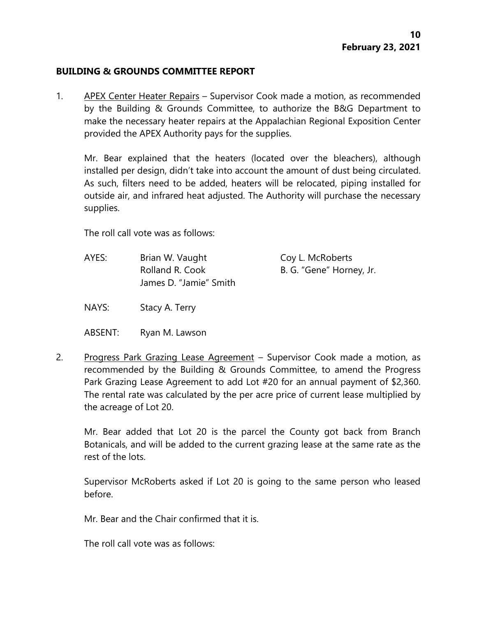#### **BUILDING & GROUNDS COMMITTEE REPORT**

1. APEX Center Heater Repairs – Supervisor Cook made a motion, as recommended by the Building & Grounds Committee, to authorize the B&G Department to make the necessary heater repairs at the Appalachian Regional Exposition Center provided the APEX Authority pays for the supplies.

Mr. Bear explained that the heaters (located over the bleachers), although installed per design, didn't take into account the amount of dust being circulated. As such, filters need to be added, heaters will be relocated, piping installed for outside air, and infrared heat adjusted. The Authority will purchase the necessary supplies.

The roll call vote was as follows:

AYES: Brian W. Vaught Coy L. McRoberts Rolland R. Cook B. G. "Gene" Horney, Jr. James D. "Jamie" Smith

NAYS: Stacy A. Terry

ABSENT: Ryan M. Lawson

2. Progress Park Grazing Lease Agreement - Supervisor Cook made a motion, as recommended by the Building & Grounds Committee, to amend the Progress Park Grazing Lease Agreement to add Lot #20 for an annual payment of \$2,360. The rental rate was calculated by the per acre price of current lease multiplied by the acreage of Lot 20.

Mr. Bear added that Lot 20 is the parcel the County got back from Branch Botanicals, and will be added to the current grazing lease at the same rate as the rest of the lots.

Supervisor McRoberts asked if Lot 20 is going to the same person who leased before.

Mr. Bear and the Chair confirmed that it is.

The roll call vote was as follows: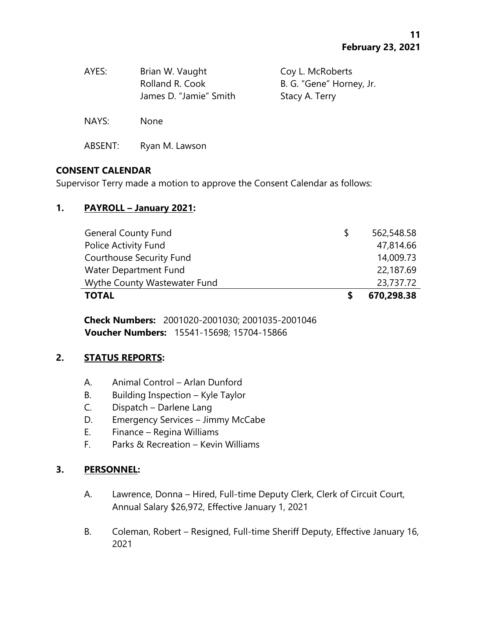| AYES:   | Brian W. Vaught<br>Rolland R. Cook<br>James D. "Jamie" Smith | Coy L. McRoberts<br>B. G. "Gene" Horney, Jr.<br>Stacy A. Terry |
|---------|--------------------------------------------------------------|----------------------------------------------------------------|
| NAYS:   | <b>None</b>                                                  |                                                                |
| ABSENT: | Ryan M. Lawson                                               |                                                                |

# **CONSENT CALENDAR**

Supervisor Terry made a motion to approve the Consent Calendar as follows:

# **1. PAYROLL – January 2021:**

| <b>General County Fund</b>      | S | 562,548.58 |
|---------------------------------|---|------------|
| Police Activity Fund            |   | 47,814.66  |
| <b>Courthouse Security Fund</b> |   | 14,009.73  |
| Water Department Fund           |   | 22,187.69  |
| Wythe County Wastewater Fund    |   | 23,737.72  |
| <b>TOTAL</b>                    |   | 670,298.38 |

**Check Numbers:** 2001020-2001030; 2001035-2001046 **Voucher Numbers:** 15541-15698; 15704-15866

# **2. STATUS REPORTS:**

- A. Animal Control Arlan Dunford
- B. Building Inspection Kyle Taylor
- C. Dispatch Darlene Lang
- D. Emergency Services Jimmy McCabe
- E. Finance Regina Williams
- F. Parks & Recreation Kevin Williams

# **3. PERSONNEL:**

- A. Lawrence, Donna Hired, Full-time Deputy Clerk, Clerk of Circuit Court, Annual Salary \$26,972, Effective January 1, 2021
- B. Coleman, Robert Resigned, Full-time Sheriff Deputy, Effective January 16, 2021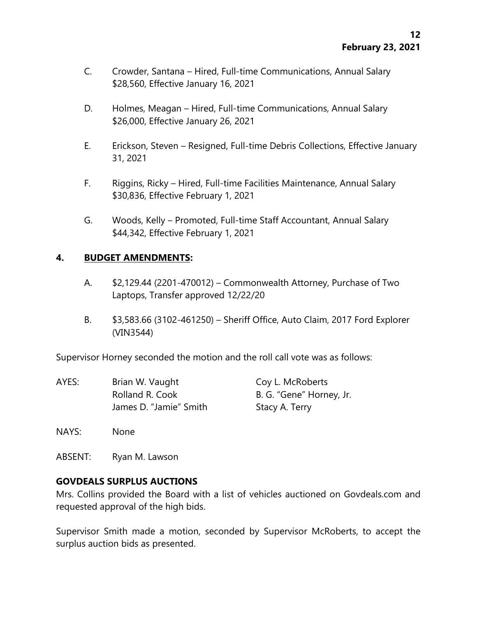- C. Crowder, Santana Hired, Full-time Communications, Annual Salary \$28,560, Effective January 16, 2021
- D. Holmes, Meagan Hired, Full-time Communications, Annual Salary \$26,000, Effective January 26, 2021
- E. Erickson, Steven Resigned, Full-time Debris Collections, Effective January 31, 2021
- F. Riggins, Ricky Hired, Full-time Facilities Maintenance, Annual Salary \$30,836, Effective February 1, 2021
- G. Woods, Kelly Promoted, Full-time Staff Accountant, Annual Salary \$44,342, Effective February 1, 2021

### **4. BUDGET AMENDMENTS:**

- A. \$2,129.44 (2201-470012) Commonwealth Attorney, Purchase of Two Laptops, Transfer approved 12/22/20
- B. \$3,583.66 (3102-461250) Sheriff Office, Auto Claim, 2017 Ford Explorer (VIN3544)

Supervisor Horney seconded the motion and the roll call vote was as follows:

| AYES: | Brian W. Vaught        | Coy L. McRoberts         |
|-------|------------------------|--------------------------|
|       | Rolland R. Cook        | B. G. "Gene" Horney, Jr. |
|       | James D. "Jamie" Smith | Stacy A. Terry           |

- NAYS: None
- ABSENT: Ryan M. Lawson

# **GOVDEALS SURPLUS AUCTIONS**

Mrs. Collins provided the Board with a list of vehicles auctioned on Govdeals.com and requested approval of the high bids.

Supervisor Smith made a motion, seconded by Supervisor McRoberts, to accept the surplus auction bids as presented.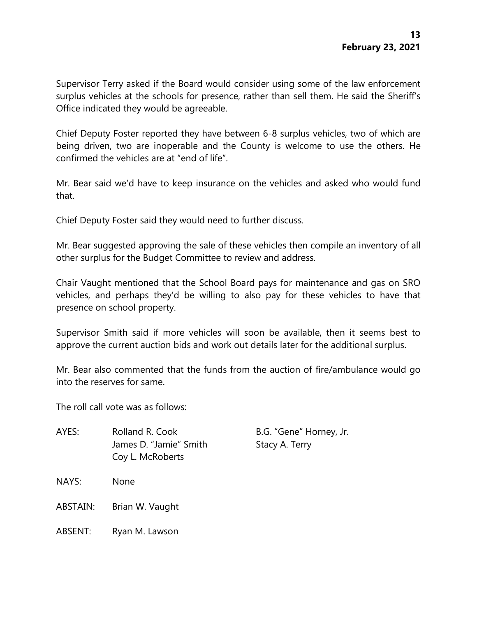Supervisor Terry asked if the Board would consider using some of the law enforcement surplus vehicles at the schools for presence, rather than sell them. He said the Sheriff's Office indicated they would be agreeable.

Chief Deputy Foster reported they have between 6-8 surplus vehicles, two of which are being driven, two are inoperable and the County is welcome to use the others. He confirmed the vehicles are at "end of life".

Mr. Bear said we'd have to keep insurance on the vehicles and asked who would fund that.

Chief Deputy Foster said they would need to further discuss.

Mr. Bear suggested approving the sale of these vehicles then compile an inventory of all other surplus for the Budget Committee to review and address.

Chair Vaught mentioned that the School Board pays for maintenance and gas on SRO vehicles, and perhaps they'd be willing to also pay for these vehicles to have that presence on school property.

Supervisor Smith said if more vehicles will soon be available, then it seems best to approve the current auction bids and work out details later for the additional surplus.

Mr. Bear also commented that the funds from the auction of fire/ambulance would go into the reserves for same.

The roll call vote was as follows:

AYES: Rolland R. Cook B.G. "Gene" Horney, Jr. James D. "Jamie" Smith Stacy A. Terry Coy L. McRoberts

- NAYS: None
- ABSTAIN: Brian W. Vaught
- ABSENT: Ryan M. Lawson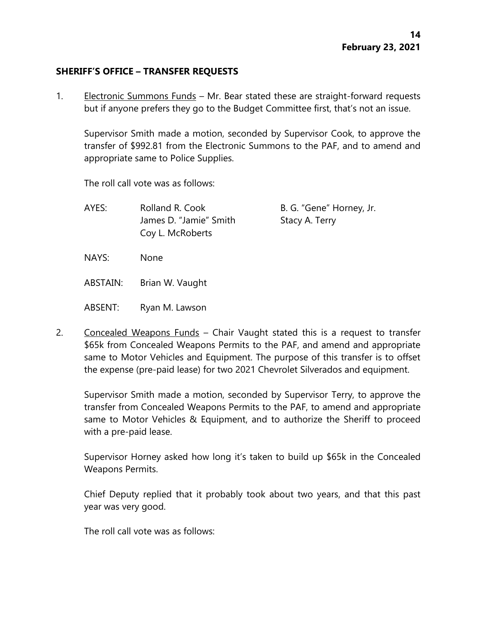### **SHERIFF'S OFFICE – TRANSFER REQUESTS**

1. Electronic Summons Funds – Mr. Bear stated these are straight-forward requests but if anyone prefers they go to the Budget Committee first, that's not an issue.

Supervisor Smith made a motion, seconded by Supervisor Cook, to approve the transfer of \$992.81 from the Electronic Summons to the PAF, and to amend and appropriate same to Police Supplies.

The roll call vote was as follows:

AYES: Rolland R. Cook B. G. "Gene" Horney, Jr. James D. "Jamie" Smith Stacy A. Terry Coy L. McRoberts

NAYS: None

ABSTAIN: Brian W. Vaught

ABSENT: Ryan M. Lawson

2. Concealed Weapons Funds – Chair Vaught stated this is a request to transfer \$65k from Concealed Weapons Permits to the PAF, and amend and appropriate same to Motor Vehicles and Equipment. The purpose of this transfer is to offset the expense (pre-paid lease) for two 2021 Chevrolet Silverados and equipment.

Supervisor Smith made a motion, seconded by Supervisor Terry, to approve the transfer from Concealed Weapons Permits to the PAF, to amend and appropriate same to Motor Vehicles & Equipment, and to authorize the Sheriff to proceed with a pre-paid lease.

Supervisor Horney asked how long it's taken to build up \$65k in the Concealed Weapons Permits.

Chief Deputy replied that it probably took about two years, and that this past year was very good.

The roll call vote was as follows: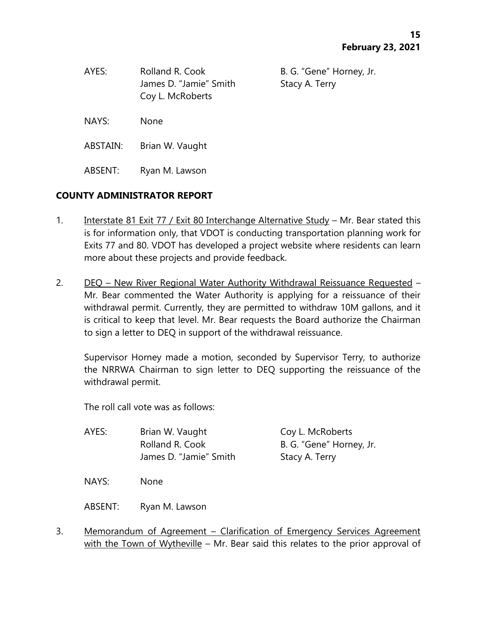| AYES:    | Rolland R. Cook<br>James D. "Jamie" Smith<br>Coy L. McRoberts | B. G. "Gene" Horney, Jr.<br>Stacy A. Terry |
|----------|---------------------------------------------------------------|--------------------------------------------|
| NAYS:    | None                                                          |                                            |
| ABSTAIN: | Brian W. Vaught                                               |                                            |

# **COUNTY ADMINISTRATOR REPORT**

ABSENT: Ryan M. Lawson

- 1. Interstate 81 Exit 77 / Exit 80 Interchange Alternative Study Mr. Bear stated this is for information only, that VDOT is conducting transportation planning work for Exits 77 and 80. VDOT has developed a project website where residents can learn more about these projects and provide feedback.
- 2. DEQ New River Regional Water Authority Withdrawal Reissuance Requested Mr. Bear commented the Water Authority is applying for a reissuance of their withdrawal permit. Currently, they are permitted to withdraw 10M gallons, and it is critical to keep that level. Mr. Bear requests the Board authorize the Chairman to sign a letter to DEQ in support of the withdrawal reissuance.

Supervisor Horney made a motion, seconded by Supervisor Terry, to authorize the NRRWA Chairman to sign letter to DEQ supporting the reissuance of the withdrawal permit.

The roll call vote was as follows:

| AYES: | Brian W. Vaught        | Coy L. McRoberts         |
|-------|------------------------|--------------------------|
|       | Rolland R. Cook        | B. G. "Gene" Horney, Jr. |
|       | James D. "Jamie" Smith | Stacy A. Terry           |
|       |                        |                          |

NAYS: None

ABSENT: Ryan M. Lawson

3. Memorandum of Agreement – Clarification of Emergency Services Agreement with the Town of Wytheville – Mr. Bear said this relates to the prior approval of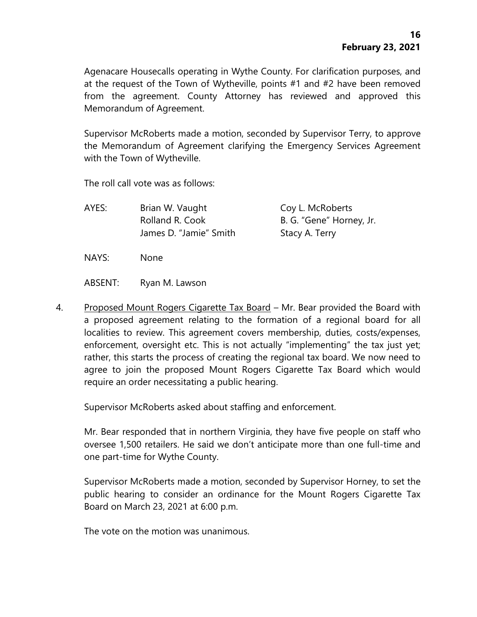Agenacare Housecalls operating in Wythe County. For clarification purposes, and at the request of the Town of Wytheville, points #1 and #2 have been removed from the agreement. County Attorney has reviewed and approved this Memorandum of Agreement.

Supervisor McRoberts made a motion, seconded by Supervisor Terry, to approve the Memorandum of Agreement clarifying the Emergency Services Agreement with the Town of Wytheville.

The roll call vote was as follows:

| AYES: | Brian W. Vaught        | Coy L. McRoberts         |
|-------|------------------------|--------------------------|
|       | Rolland R. Cook        | B. G. "Gene" Horney, Jr. |
|       | James D. "Jamie" Smith | Stacy A. Terry           |
| NAYS: | None                   |                          |

ABSENT: Ryan M. Lawson

4. Proposed Mount Rogers Cigarette Tax Board – Mr. Bear provided the Board with a proposed agreement relating to the formation of a regional board for all localities to review. This agreement covers membership, duties, costs/expenses, enforcement, oversight etc. This is not actually "implementing" the tax just yet; rather, this starts the process of creating the regional tax board. We now need to agree to join the proposed Mount Rogers Cigarette Tax Board which would require an order necessitating a public hearing.

Supervisor McRoberts asked about staffing and enforcement.

Mr. Bear responded that in northern Virginia, they have five people on staff who oversee 1,500 retailers. He said we don't anticipate more than one full-time and one part-time for Wythe County.

Supervisor McRoberts made a motion, seconded by Supervisor Horney, to set the public hearing to consider an ordinance for the Mount Rogers Cigarette Tax Board on March 23, 2021 at 6:00 p.m.

The vote on the motion was unanimous.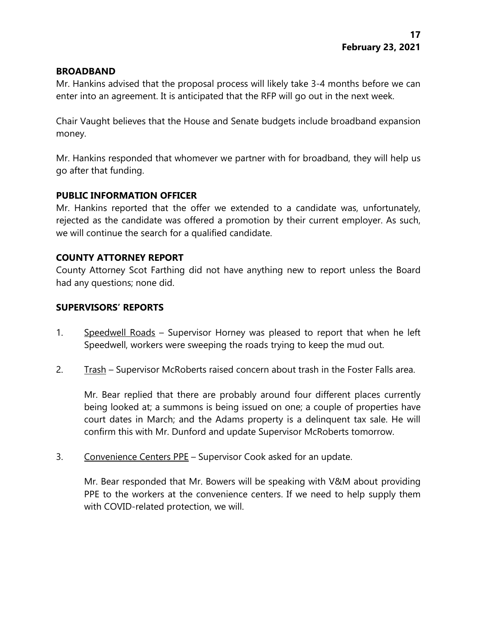### **BROADBAND**

Mr. Hankins advised that the proposal process will likely take 3-4 months before we can enter into an agreement. It is anticipated that the RFP will go out in the next week.

Chair Vaught believes that the House and Senate budgets include broadband expansion money.

Mr. Hankins responded that whomever we partner with for broadband, they will help us go after that funding.

### **PUBLIC INFORMATION OFFICER**

Mr. Hankins reported that the offer we extended to a candidate was, unfortunately, rejected as the candidate was offered a promotion by their current employer. As such, we will continue the search for a qualified candidate.

### **COUNTY ATTORNEY REPORT**

County Attorney Scot Farthing did not have anything new to report unless the Board had any questions; none did.

## **SUPERVISORS' REPORTS**

- 1. Speedwell Roads Supervisor Horney was pleased to report that when he left Speedwell, workers were sweeping the roads trying to keep the mud out.
- 2. Trash Supervisor McRoberts raised concern about trash in the Foster Falls area.

Mr. Bear replied that there are probably around four different places currently being looked at; a summons is being issued on one; a couple of properties have court dates in March; and the Adams property is a delinquent tax sale. He will confirm this with Mr. Dunford and update Supervisor McRoberts tomorrow.

3. Convenience Centers PPE – Supervisor Cook asked for an update.

Mr. Bear responded that Mr. Bowers will be speaking with V&M about providing PPE to the workers at the convenience centers. If we need to help supply them with COVID-related protection, we will.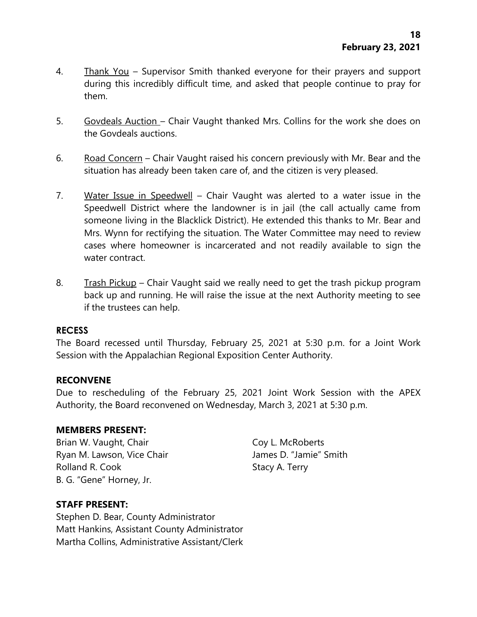- 4. Thank You Supervisor Smith thanked everyone for their prayers and support during this incredibly difficult time, and asked that people continue to pray for them.
- 5. Govdeals Auction Chair Vaught thanked Mrs. Collins for the work she does on the Govdeals auctions.
- 6. Road Concern Chair Vaught raised his concern previously with Mr. Bear and the situation has already been taken care of, and the citizen is very pleased.
- 7. Water Issue in Speedwell Chair Vaught was alerted to a water issue in the Speedwell District where the landowner is in jail (the call actually came from someone living in the Blacklick District). He extended this thanks to Mr. Bear and Mrs. Wynn for rectifying the situation. The Water Committee may need to review cases where homeowner is incarcerated and not readily available to sign the water contract.
- 8. Trash Pickup Chair Vaught said we really need to get the trash pickup program back up and running. He will raise the issue at the next Authority meeting to see if the trustees can help.

#### **RECESS**

The Board recessed until Thursday, February 25, 2021 at 5:30 p.m. for a Joint Work Session with the Appalachian Regional Exposition Center Authority.

#### **RECONVENE**

Due to rescheduling of the February 25, 2021 Joint Work Session with the APEX Authority, the Board reconvened on Wednesday, March 3, 2021 at 5:30 p.m.

#### **MEMBERS PRESENT:**

Brian W. Vaught, Chair Coy L. McRoberts Ryan M. Lawson, Vice Chair **James D. "Jamie"** Smith Rolland R. Cook Stacy A. Terry B. G. "Gene" Horney, Jr.

# **STAFF PRESENT:**

Stephen D. Bear, County Administrator Matt Hankins, Assistant County Administrator Martha Collins, Administrative Assistant/Clerk